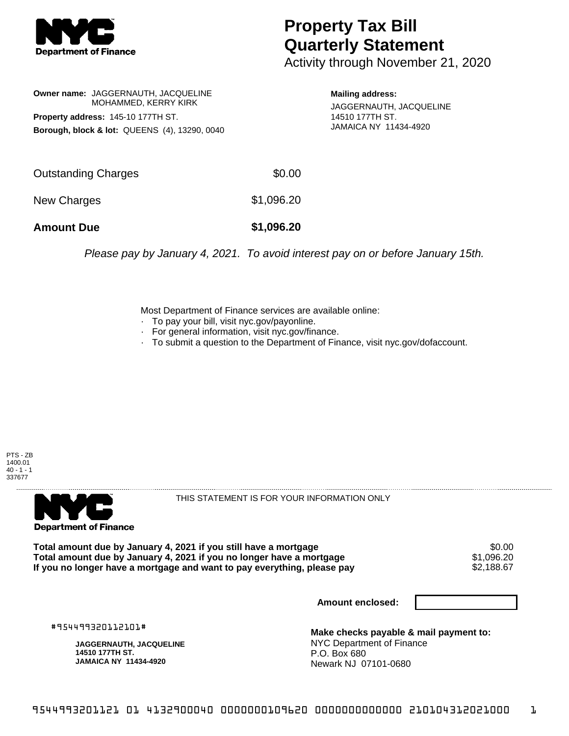

## **Property Tax Bill Quarterly Statement**

Activity through November 21, 2020

**Owner name:** JAGGERNAUTH, JACQUELINE MOHAMMED, KERRY KIRK **Property address:** 145-10 177TH ST. **Borough, block & lot:** QUEENS (4), 13290, 0040

**Mailing address:** JAGGERNAUTH, JACQUELINE 14510 177TH ST. JAMAICA NY 11434-4920

| <b>Amount Due</b>   | \$1,096.20 |
|---------------------|------------|
| <b>New Charges</b>  | \$1,096.20 |
| Outstanding Charges | \$0.00     |

Please pay by January 4, 2021. To avoid interest pay on or before January 15th.

Most Department of Finance services are available online:

- · To pay your bill, visit nyc.gov/payonline.
- For general information, visit nyc.gov/finance.
- · To submit a question to the Department of Finance, visit nyc.gov/dofaccount.





THIS STATEMENT IS FOR YOUR INFORMATION ONLY

Total amount due by January 4, 2021 if you still have a mortgage \$0.00<br>Total amount due by January 4, 2021 if you no longer have a mortgage \$1.096.20 **Total amount due by January 4, 2021 if you no longer have a mortgage**  $$1,096.20$ **<br>If you no longer have a mortgage and want to pay everything, please pay**  $$2,188.67$ If you no longer have a mortgage and want to pay everything, please pay

**Amount enclosed:**

#954499320112101#

**JAGGERNAUTH, JACQUELINE 14510 177TH ST. JAMAICA NY 11434-4920**

**Make checks payable & mail payment to:** NYC Department of Finance P.O. Box 680 Newark NJ 07101-0680